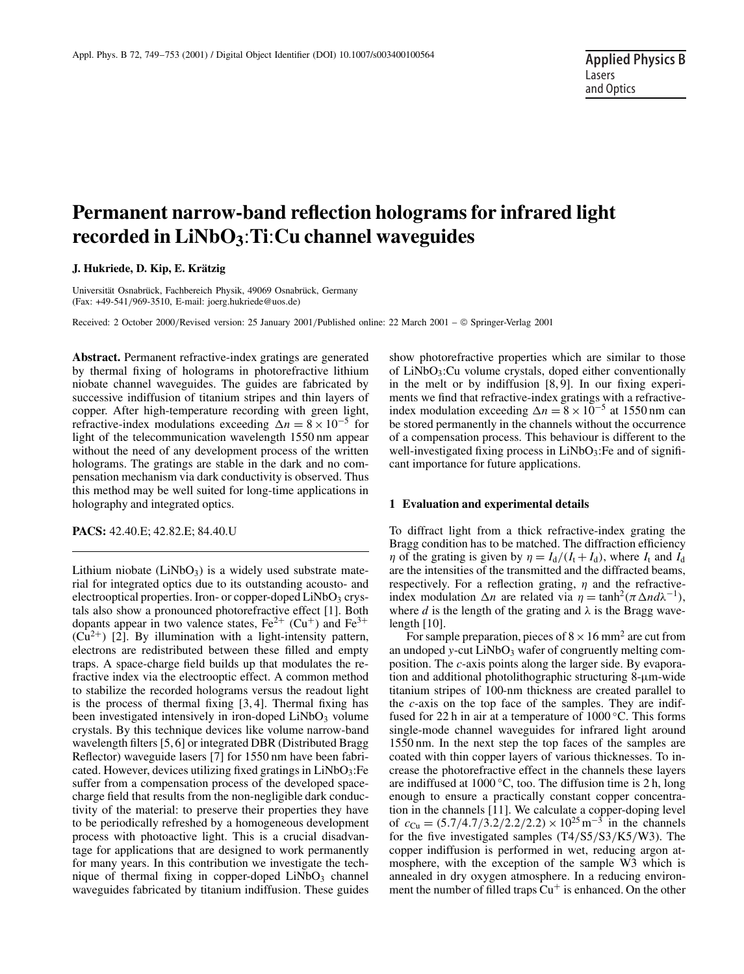# **Permanent narrow-band reflection holograms for infrared light recorded in LiNbO3**:**Ti**:**Cu channel waveguides**

**J. Hukriede, D. Kip, E. Krätzig**

Universität Osnabrück, Fachbereich Physik, 49069 Osnabrück, Germany (Fax: +49-541/969-3510, E-mail: joerg.hukriede@uos.de)

Received: 2 October 2000/Revised version: 25 January 2001/Published online: 22 March 2001 – © Springer-Verlag 2001

**Abstract.** Permanent refractive-index gratings are generated by thermal fixing of holograms in photorefractive lithium niobate channel waveguides. The guides are fabricated by successive indiffusion of titanium stripes and thin layers of copper. After high-temperature recording with green light, refractive-index modulations exceeding  $\Delta n = 8 \times 10^{-5}$  for light of the telecommunication wavelength 1550 nm appear without the need of any development process of the written holograms. The gratings are stable in the dark and no compensation mechanism via dark conductivity is observed. Thus this method may be well suited for long-time applications in holography and integrated optics.

**PACS:** 42.40.E; 42.82.E; 84.40.U

Lithium niobate  $(LiNbO<sub>3</sub>)$  is a widely used substrate material for integrated optics due to its outstanding acousto- and electrooptical properties. Iron- or copper-doped  $LiNbO<sub>3</sub>$  crystals also show a pronounced photorefractive effect [1]. Both dopants appear in two valence states,  $Fe^{2+}$  (Cu<sup>+</sup>) and  $Fe^{3+}$  $(Cu^{2+})$  [2]. By illumination with a light-intensity pattern, electrons are redistributed between these filled and empty traps. A space-charge field builds up that modulates the refractive index via the electrooptic effect. A common method to stabilize the recorded holograms versus the readout light is the process of thermal fixing [3, 4]. Thermal fixing has been investigated intensively in iron-doped  $LiNbO<sub>3</sub>$  volume crystals. By this technique devices like volume narrow-band wavelength filters [5, 6] or integrated DBR (Distributed Bragg Reflector) waveguide lasers [7] for 1550 nm have been fabricated. However, devices utilizing fixed gratings in LiNbO3:Fe suffer from a compensation process of the developed spacecharge field that results from the non-negligible dark conductivity of the material: to preserve their properties they have to be periodically refreshed by a homogeneous development process with photoactive light. This is a crucial disadvantage for applications that are designed to work permanently for many years. In this contribution we investigate the technique of thermal fixing in copper-doped  $LiNbO<sub>3</sub>$  channel waveguides fabricated by titanium indiffusion. These guides show photorefractive properties which are similar to those of  $LiNbO<sub>3</sub>:Cu$  volume crystals, doped either conventionally in the melt or by indiffusion [8, 9]. In our fixing experiments we find that refractive-index gratings with a refractiveindex modulation exceeding  $\Delta n = 8 \times 10^{-5}$  at 1550 nm can be stored permanently in the channels without the occurrence of a compensation process. This behaviour is different to the well-investigated fixing process in  $LiNbO<sub>3</sub>$ : Fe and of significant importance for future applications.

### **1 Evaluation and experimental details**

To diffract light from a thick refractive-index grating the Bragg condition has to be matched. The diffraction efficiency  $\eta$  of the grating is given by  $\eta = I_d/(I_t + I_d)$ , where  $I_t$  and  $I_d$ are the intensities of the transmitted and the diffracted beams, respectively. For a reflection grating,  $\eta$  and the refractiveindex modulation  $\Delta n$  are related via  $\eta = \tanh^2(\pi \Delta n d\lambda^{-1}),$ where *d* is the length of the grating and  $\lambda$  is the Bragg wavelength  $[10]$ .

For sample preparation, pieces of  $8 \times 16$  mm<sup>2</sup> are cut from an undoped *y*-cut LiNbO<sub>3</sub> wafer of congruently melting composition. The *c*-axis points along the larger side. By evaporation and additional photolithographic structuring 8-µm-wide titanium stripes of 100-nm thickness are created parallel to the *c*-axis on the top face of the samples. They are indiffused for 22 h in air at a temperature of  $1000\,^{\circ}$ C. This forms single-mode channel waveguides for infrared light around 1550 nm. In the next step the top faces of the samples are coated with thin copper layers of various thicknesses. To increase the photorefractive effect in the channels these layers are indiffused at 1000 ◦C, too. The diffusion time is 2 h, long enough to ensure a practically constant copper concentration in the channels [11]. We calculate a copper-doping level of  $c_{\text{Cu}} = (5.7/4.7/3.2/2.2/2.2) \times 10^{25} \text{ m}^{-3}$  in the channels for the five investigated samples (T4/S5/S3/K5/W3). The copper indiffusion is performed in wet, reducing argon atmosphere, with the exception of the sample W3 which is annealed in dry oxygen atmosphere. In a reducing environment the number of filled traps  $Cu<sup>+</sup>$  is enhanced. On the other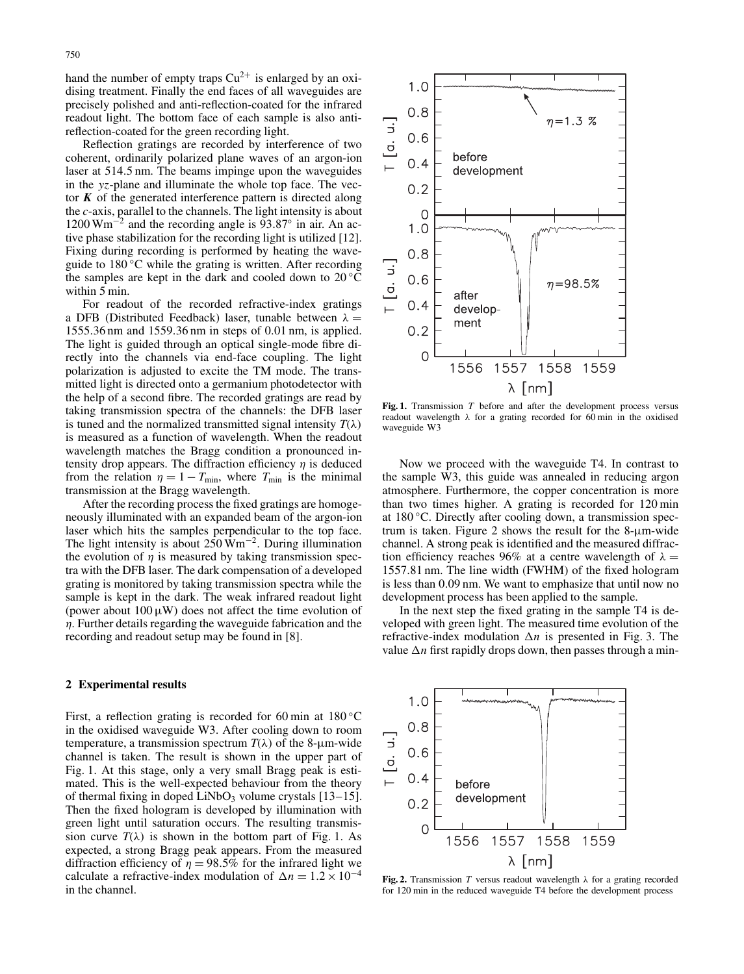hand the number of empty traps  $Cu^{2+}$  is enlarged by an oxidising treatment. Finally the end faces of all waveguides are precisely polished and anti-reflection-coated for the infrared readout light. The bottom face of each sample is also antireflection-coated for the green recording light.

Reflection gratings are recorded by interference of two coherent, ordinarily polarized plane waves of an argon-ion laser at 514.5 nm. The beams impinge upon the waveguides in the *yz*-plane and illuminate the whole top face. The vector  $K$  of the generated interference pattern is directed along the *c*-axis, parallel to the channels. The light intensity is about  $1200 \text{ Wm}^{-2}$  and the recording angle is 93.87° in air. An active phase stabilization for the recording light is utilized [12]. Fixing during recording is performed by heating the waveguide to 180 ℃ while the grating is written. After recording the samples are kept in the dark and cooled down to  $20^{\circ}$ C within 5 min.

For readout of the recorded refractive-index gratings a DFB (Distributed Feedback) laser, tunable between  $\lambda =$ 1555.36 nm and 1559.36 nm in steps of 0.01 nm, is applied. The light is guided through an optical single-mode fibre directly into the channels via end-face coupling. The light polarization is adjusted to excite the TM mode. The transmitted light is directed onto a germanium photodetector with the help of a second fibre. The recorded gratings are read by taking transmission spectra of the channels: the DFB laser is tuned and the normalized transmitted signal intensity  $T(\lambda)$ is measured as a function of wavelength. When the readout wavelength matches the Bragg condition a pronounced intensity drop appears. The diffraction efficiency  $\eta$  is deduced from the relation  $\eta = 1 - T_{\text{min}}$ , where  $T_{\text{min}}$  is the minimal transmission at the Bragg wavelength.

After the recording process the fixed gratings are homogeneously illuminated with an expanded beam of the argon-ion laser which hits the samples perpendicular to the top face. The light intensity is about 250 Wm−2. During illumination the evolution of  $\eta$  is measured by taking transmission spectra with the DFB laser. The dark compensation of a developed grating is monitored by taking transmission spectra while the sample is kept in the dark. The weak infrared readout light (power about  $100 \mu W$ ) does not affect the time evolution of  $\eta$ . Further details regarding the waveguide fabrication and the recording and readout setup may be found in [8].

## **2 Experimental results**

First, a reflection grating is recorded for 60 min at  $180\textdegree C$ in the oxidised waveguide W3. After cooling down to room temperature, a transmission spectrum  $T(\lambda)$  of the 8-µm-wide channel is taken. The result is shown in the upper part of Fig. 1. At this stage, only a very small Bragg peak is estimated. This is the well-expected behaviour from the theory of thermal fixing in doped  $LiNbO<sub>3</sub>$  volume crystals [13–15]. Then the fixed hologram is developed by illumination with green light until saturation occurs. The resulting transmission curve  $T(\lambda)$  is shown in the bottom part of Fig. 1. As expected, a strong Bragg peak appears. From the measured diffraction efficiency of  $\eta = 98.5\%$  for the infrared light we calculate a refractive-index modulation of  $\Delta n = 1.2 \times 10^{-4}$ in the channel.



Fig. 1. Transmission *T* before and after the development process versus readout wavelength  $\lambda$  for a grating recorded for 60 min in the oxidised waveguide W3

Now we proceed with the waveguide T4. In contrast to the sample W3, this guide was annealed in reducing argon atmosphere. Furthermore, the copper concentration is more than two times higher. A grating is recorded for 120 min at 180 ◦C. Directly after cooling down, a transmission spectrum is taken. Figure 2 shows the result for the  $8-\mu m$ -wide channel. A strong peak is identified and the measured diffraction efficiency reaches 96% at a centre wavelength of  $\lambda =$ 1557.81 nm. The line width (FWHM) of the fixed hologram is less than 0.09 nm. We want to emphasize that until now no development process has been applied to the sample.

In the next step the fixed grating in the sample T4 is developed with green light. The measured time evolution of the refractive-index modulation ∆*n* is presented in Fig. 3. The value ∆*n* first rapidly drops down, then passes through a min-



**Fig. 2.** Transmission *T* versus readout wavelength  $\lambda$  for a grating recorded for 120 min in the reduced waveguide T4 before the development process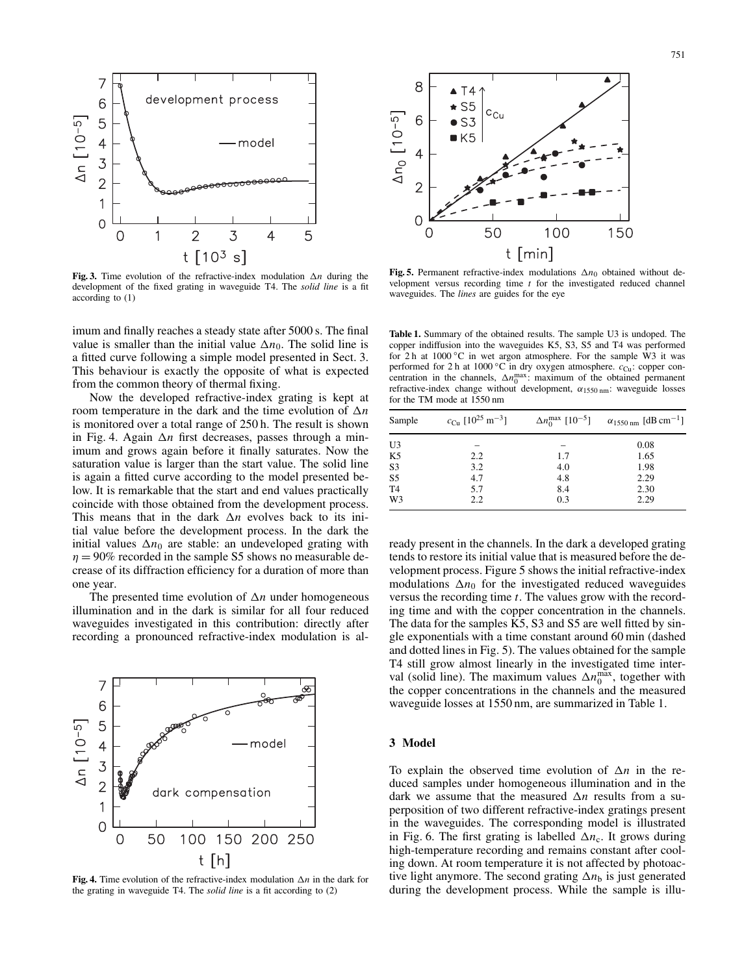

**Fig. 3.** Time evolution of the refractive-index modulation ∆*n* during the development of the fixed grating in waveguide T4. The *solid line* is a fit according to (1)

imum and finally reaches a steady state after 5000 s. The final value is smaller than the initial value  $\Delta n_0$ . The solid line is a fitted curve following a simple model presented in Sect. 3. This behaviour is exactly the opposite of what is expected from the common theory of thermal fixing.

Now the developed refractive-index grating is kept at room temperature in the dark and the time evolution of ∆*n* is monitored over a total range of 250 h. The result is shown in Fig. 4. Again ∆*n* first decreases, passes through a minimum and grows again before it finally saturates. Now the saturation value is larger than the start value. The solid line is again a fitted curve according to the model presented below. It is remarkable that the start and end values practically coincide with those obtained from the development process. This means that in the dark ∆*n* evolves back to its initial value before the development process. In the dark the initial values  $\Delta n_0$  are stable: an undeveloped grating with  $\eta = 90\%$  recorded in the sample S5 shows no measurable decrease of its diffraction efficiency for a duration of more than one year.

The presented time evolution of ∆*n* under homogeneous illumination and in the dark is similar for all four reduced waveguides investigated in this contribution: directly after recording a pronounced refractive-index modulation is al-



**Fig. 4.** Time evolution of the refractive-index modulation ∆*n* in the dark for the grating in waveguide T4. The *solid line* is a fit according to (2)



**Fig. 5.** Permanent refractive-index modulations ∆*n*<sup>0</sup> obtained without development versus recording time *t* for the investigated reduced channel waveguides. The *lines* are guides for the eye

**Table 1.** Summary of the obtained results. The sample U3 is undoped. The copper indiffusion into the waveguides K5, S3, S5 and T4 was performed for 2 h at 1000 ◦C in wet argon atmosphere. For the sample W3 it was performed for 2 h at 1000 °C in dry oxygen atmosphere.  $c_{Cu}$ : copper concentration in the channels,  $\Delta n_0^{\text{max}}$ : maximum of the obtained permanent refractive-index change without development,  $\alpha_{1550 \text{ nm}}$ : waveguide losses for the TM mode at 1550 nm

| Sample         | $c_{\text{Cu}}$ [10 <sup>25</sup> m <sup>-3</sup> ] | $\Delta n_0^{\rm max}$ [10 <sup>-5</sup> ] | $\alpha_{1550 \text{ nm}}$ [dB cm <sup>-1</sup> ] |
|----------------|-----------------------------------------------------|--------------------------------------------|---------------------------------------------------|
| U3             |                                                     |                                            | 0.08                                              |
| K <sub>5</sub> | 2.2                                                 | 1.7                                        | 1.65                                              |
|                | 3.2                                                 | 4.0                                        | 1.98                                              |
| $rac{S3}{S5}$  | 4.7                                                 | 4.8                                        | 2.29                                              |
| T <sub>4</sub> | 5.7                                                 | 8.4                                        | 2.30                                              |
| W3             | 2.2                                                 | 0.3                                        | 2.29                                              |

ready present in the channels. In the dark a developed grating tends to restore its initial value that is measured before the development process. Figure 5 shows the initial refractive-index modulations  $\Delta n_0$  for the investigated reduced waveguides versus the recording time *t*. The values grow with the recording time and with the copper concentration in the channels. The data for the samples K5, S3 and S5 are well fitted by single exponentials with a time constant around 60 min (dashed and dotted lines in Fig. 5). The values obtained for the sample T4 still grow almost linearly in the investigated time interval (solid line). The maximum values  $\Delta n_0^{\text{max}}$ , together with the copper concentrations in the channels and the measured waveguide losses at 1550 nm, are summarized in Table 1.

## **3 Model**

To explain the observed time evolution of ∆*n* in the reduced samples under homogeneous illumination and in the dark we assume that the measured ∆*n* results from a superposition of two different refractive-index gratings present in the waveguides. The corresponding model is illustrated in Fig. 6. The first grating is labelled  $\Delta n_c$ . It grows during high-temperature recording and remains constant after cooling down. At room temperature it is not affected by photoactive light anymore. The second grating ∆*n*<sup>b</sup> is just generated during the development process. While the sample is illu-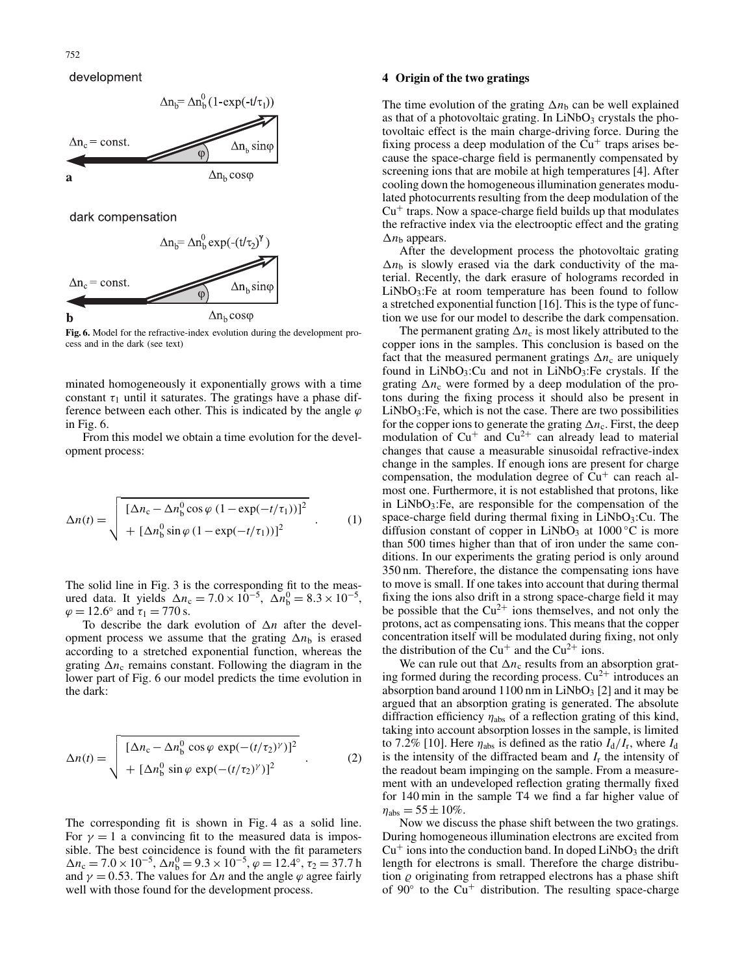# development



**Fig. 6.** Model for the refractive-index evolution during the development process and in the dark (see text)

minated homogeneously it exponentially grows with a time constant  $\tau_1$  until it saturates. The gratings have a phase difference between each other. This is indicated by the angle  $\varphi$ in Fig. 6.

From this model we obtain a time evolution for the development process:

$$
\Delta n(t) = \sqrt{\frac{\left[\Delta n_{\rm c} - \Delta n_{\rm b}^0 \cos \varphi \left(1 - \exp(-t/\tau_1)\right)\right]^2}{\left[\Delta n_{\rm b}^0 \sin \varphi \left(1 - \exp(-t/\tau_1)\right)\right]^2}} \tag{1}
$$

The solid line in Fig. 3 is the corresponding fit to the measured data. It yields  $\Delta n_c = 7.0 \times 10^{-5}$ ,  $\Delta n_b^0 = 8.3 \times 10^{-5}$ ,  $\varphi = 12.6^{\circ}$  and  $\tau_1 = 770$  s.

To describe the dark evolution of ∆*n* after the development process we assume that the grating ∆*n*<sup>b</sup> is erased according to a stretched exponential function, whereas the grating  $\Delta n_c$  remains constant. Following the diagram in the lower part of Fig. 6 our model predicts the time evolution in the dark:

$$
\Delta n(t) = \sqrt{\frac{\left[\Delta n_{\rm c} - \Delta n_{\rm b}^0 \cos \varphi \exp(-(t/\tau_2)^\gamma)\right]^2}{\left[\Delta n_{\rm b}^0 \sin \varphi \exp(-(t/\tau_2)^\gamma)\right]^2}} \quad . \tag{2}
$$

The corresponding fit is shown in Fig. 4 as a solid line. For  $\gamma = 1$  a convincing fit to the measured data is impossible. The best coincidence is found with the fit parameters  $\Delta n_c = 7.0 \times 10^{-5}$ ,  $\Delta n_b^0 = 9.3 \times 10^{-5}$ ,  $\varphi = 12.4^\circ$ ,  $\tau_2 = 37.7$  h and  $\gamma = 0.53$ . The values for  $\Delta n$  and the angle  $\varphi$  agree fairly well with those found for the development process.

## **4 Origin of the two gratings**

The time evolution of the grating  $\Delta n_b$  can be well explained as that of a photovoltaic grating. In  $LiNbO<sub>3</sub>$  crystals the photovoltaic effect is the main charge-driving force. During the fixing process a deep modulation of the  $Cu<sup>+</sup>$  traps arises because the space-charge field is permanently compensated by screening ions that are mobile at high temperatures [4]. After cooling down the homogeneous illumination generates modulated photocurrents resulting from the deep modulation of the  $Cu<sup>+</sup>$  traps. Now a space-charge field builds up that modulates the refractive index via the electrooptic effect and the grating ∆*n*<sup>b</sup> appears.

After the development process the photovoltaic grating  $\Delta n_b$  is slowly erased via the dark conductivity of the material. Recently, the dark erasure of holograms recorded in  $LiNbO<sub>3</sub>:Fe$  at room temperature has been found to follow a stretched exponential function [16]. This is the type of function we use for our model to describe the dark compensation.

The permanent grating  $\Delta n_c$  is most likely attributed to the copper ions in the samples. This conclusion is based on the fact that the measured permanent gratings  $\Delta n_c$  are uniquely found in  $LiNbO<sub>3</sub>:Cu$  and not in  $LiNbO<sub>3</sub>:Fe$  crystals. If the grating  $\Delta n_c$  were formed by a deep modulation of the protons during the fixing process it should also be present in  $LiNbO<sub>3</sub>$ : Fe, which is not the case. There are two possibilities for the copper ions to generate the grating  $\Delta n_c$ . First, the deep modulation of  $Cu<sup>+</sup>$  and  $Cu<sup>2+</sup>$  can already lead to material changes that cause a measurable sinusoidal refractive-index change in the samples. If enough ions are present for charge compensation, the modulation degree of  $Cu<sup>+</sup>$  can reach almost one. Furthermore, it is not established that protons, like in  $LiNbO<sub>3</sub>$ : Fe, are responsible for the compensation of the space-charge field during thermal fixing in  $LiNbO<sub>3</sub>:Cu$ . The diffusion constant of copper in LiNbO<sub>3</sub> at  $1000\degree C$  is more than 500 times higher than that of iron under the same conditions. In our experiments the grating period is only around 350 nm. Therefore, the distance the compensating ions have to move is small. If one takes into account that during thermal fixing the ions also drift in a strong space-charge field it may be possible that the  $Cu^{2+}$  ions themselves, and not only the protons, act as compensating ions. This means that the copper concentration itself will be modulated during fixing, not only the distribution of the  $Cu^+$  and the  $Cu^{2+}$  ions.

We can rule out that  $\Delta n_c$  results from an absorption grating formed during the recording process.  $Cu^{2+}$  introduces an absorption band around  $1100$  nm in LiNbO<sub>3</sub> [2] and it may be argued that an absorption grating is generated. The absolute diffraction efficiency  $\eta_{\text{abs}}$  of a reflection grating of this kind, taking into account absorption losses in the sample, is limited to 7.2% [10]. Here  $\eta_{\text{abs}}$  is defined as the ratio  $I_{d}/I_{r}$ , where  $I_{d}$ is the intensity of the diffracted beam and  $I_r$  the intensity of the readout beam impinging on the sample. From a measurement with an undeveloped reflection grating thermally fixed for 140 min in the sample T4 we find a far higher value of  $\eta_{\rm abs} = 55 \pm 10\%$ .

Now we discuss the phase shift between the two gratings. During homogeneous illumination electrons are excited from  $Cu<sup>+</sup>$  ions into the conduction band. In doped LiNbO<sub>3</sub> the drift length for electrons is small. Therefore the charge distribution  $\rho$  originating from retrapped electrons has a phase shift of  $90^\circ$  to the Cu<sup>+</sup> distribution. The resulting space-charge